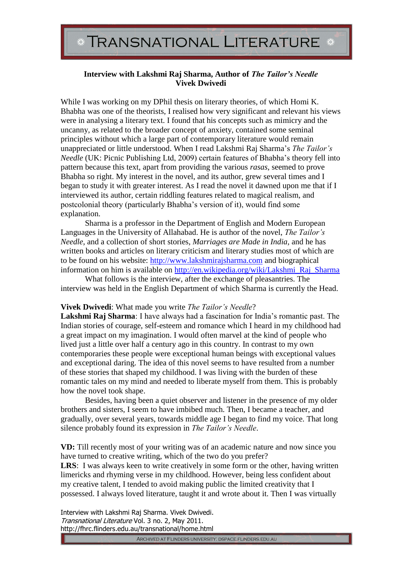## **Interview with Lakshmi Raj Sharma, Author of** *The Tailor's Needle* **Vivek Dwivedi**

While I was working on my DPhil thesis on literary theories, of which Homi K. Bhabha was one of the theorists, I realised how very significant and relevant his views were in analysing a literary text. I found that his concepts such as mimicry and the uncanny, as related to the broader concept of anxiety, contained some seminal principles without which a large part of contemporary literature would remain unappreciated or little understood. When I read Lakshmi Raj Sharma's *The Tailor's Needle* (UK: Picnic Publishing Ltd, 2009) certain features of Bhabha's theory fell into pattern because this text, apart from providing the various *rasas*, seemed to prove Bhabha so right. My interest in the novel, and its author, grew several times and I began to study it with greater interest. As I read the novel it dawned upon me that if I interviewed its author, certain riddling features related to magical realism, and postcolonial theory (particularly Bhabha's version of it), would find some explanation.

Sharma is a professor in the Department of English and Modern European Languages in the University of Allahabad. He is author of the novel, *The Tailor's Needle*, and a collection of short stories, *Marriages are Made in India,* and he has written books and articles on literary criticism and literary studies most of which are to be found on his website: [http://www.lakshmirajsharma.com](http://www.lakshmirajsharma.com/) and biographical information on him is available on [http://en.wikipedia.org/wiki/Lakshmi\\_Raj\\_Sharma](http://en.wikipedia.org/wiki/Lakshmi_Raj_Sharma)

What follows is the interview, after the exchange of pleasantries. The interview was held in the English Department of which Sharma is currently the Head.

## **Vivek Dwivedi**: What made you write *The Tailor's Needle*?

**Lakshmi Raj Sharma**: I have always had a fascination for India's romantic past. The Indian stories of courage, self-esteem and romance which I heard in my childhood had a great impact on my imagination. I would often marvel at the kind of people who lived just a little over half a century ago in this country. In contrast to my own contemporaries these people were exceptional human beings with exceptional values and exceptional daring. The idea of this novel seems to have resulted from a number of these stories that shaped my childhood. I was living with the burden of these romantic tales on my mind and needed to liberate myself from them. This is probably how the novel took shape.

Besides, having been a quiet observer and listener in the presence of my older brothers and sisters, I seem to have imbibed much. Then, I became a teacher, and gradually, over several years, towards middle age I began to find my voice. That long silence probably found its expression in *The Tailor's Needle*.

**VD:** Till recently most of your writing was of an academic nature and now since you have turned to creative writing, which of the two do you prefer?

**LRS**: I was always keen to write creatively in some form or the other, having written limericks and rhyming verse in my childhood. However, being less confident about my creative talent, I tended to avoid making public the limited creativity that I possessed. I always loved literature, taught it and wrote about it. Then I was virtually

Interview with Lakshmi Raj Sharma. Vivek Dwivedi. Transnational Literature Vol. 3 no. 2, May 2011. http://fhrc.flinders.edu.au/transnational/home.html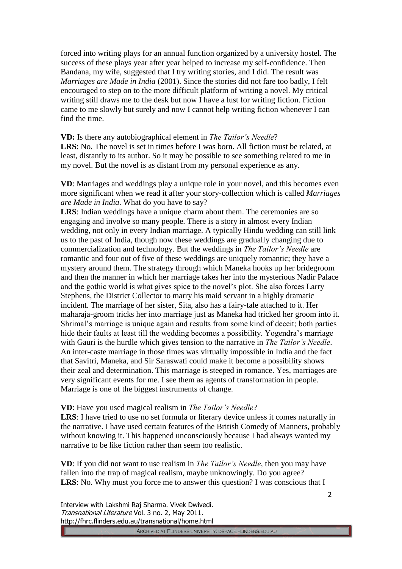forced into writing plays for an annual function organized by a university hostel. The success of these plays year after year helped to increase my self-confidence. Then Bandana, my wife, suggested that I try writing stories, and I did. The result was *Marriages are Made in India* (2001). Since the stories did not fare too badly, I felt encouraged to step on to the more difficult platform of writing a novel. My critical writing still draws me to the desk but now I have a lust for writing fiction. Fiction came to me slowly but surely and now I cannot help writing fiction whenever I can find the time.

## **VD:** Is there any autobiographical element in *The Tailor's Needle*?

**LRS**: No. The novel is set in times before I was born. All fiction must be related, at least, distantly to its author. So it may be possible to see something related to me in my novel. But the novel is as distant from my personal experience as any.

**VD**: Marriages and weddings play a unique role in your novel, and this becomes even more significant when we read it after your story-collection which is called *Marriages are Made in India*. What do you have to say?

**LRS**: Indian weddings have a unique charm about them. The ceremonies are so engaging and involve so many people. There is a story in almost every Indian wedding, not only in every Indian marriage. A typically Hindu wedding can still link us to the past of India, though now these weddings are gradually changing due to commercialization and technology. But the weddings in *The Tailor's Needle* are romantic and four out of five of these weddings are uniquely romantic; they have a mystery around them. The strategy through which Maneka hooks up her bridegroom and then the manner in which her marriage takes her into the mysterious Nadir Palace and the gothic world is what gives spice to the novel's plot. She also forces Larry Stephens, the District Collector to marry his maid servant in a highly dramatic incident. The marriage of her sister, Sita, also has a fairy-tale attached to it. Her maharaja-groom tricks her into marriage just as Maneka had tricked her groom into it. Shrimal's marriage is unique again and results from some kind of deceit; both parties hide their faults at least till the wedding becomes a possibility. Yogendra's marriage with Gauri is the hurdle which gives tension to the narrative in *The Tailor's Needle*. An inter-caste marriage in those times was virtually impossible in India and the fact that Savitri, Maneka, and Sir Saraswati could make it become a possibility shows their zeal and determination. This marriage is steeped in romance. Yes, marriages are very significant events for me. I see them as agents of transformation in people. Marriage is one of the biggest instruments of change.

## **VD**: Have you used magical realism in *The Tailor's Needle*?

**LRS**: I have tried to use no set formula or literary device unless it comes naturally in the narrative. I have used certain features of the British Comedy of Manners, probably without knowing it. This happened unconsciously because I had always wanted my narrative to be like fiction rather than seem too realistic.

**VD**: If you did not want to use realism in *The Tailor's Needle*, then you may have fallen into the trap of magical realism, maybe unknowingly. Do you agree? **LRS**: No. Why must you force me to answer this question? I was conscious that I

Interview with Lakshmi Raj Sharma. Vivek Dwivedi. Transnational Literature Vol. 3 no. 2, May 2011. http://fhrc.flinders.edu.au/transnational/home.html

ARCHIVED AT FLINDERS UNIVERSITY: DSPACE.FLINDERS.EDU.AU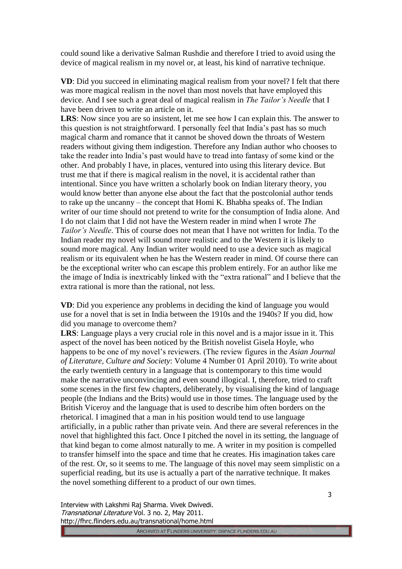could sound like a derivative Salman Rushdie and therefore I tried to avoid using the device of magical realism in my novel or, at least, his kind of narrative technique.

**VD**: Did you succeed in eliminating magical realism from your novel? I felt that there was more magical realism in the novel than most novels that have employed this device. And I see such a great deal of magical realism in *The Tailor's Needle* that I have been driven to write an article on it.

**LRS**: Now since you are so insistent, let me see how I can explain this. The answer to this question is not straightforward. I personally feel that India's past has so much magical charm and romance that it cannot be shoved down the throats of Western readers without giving them indigestion. Therefore any Indian author who chooses to take the reader into India's past would have to tread into fantasy of some kind or the other. And probably I have, in places, ventured into using this literary device. But trust me that if there is magical realism in the novel, it is accidental rather than intentional. Since you have written a scholarly book on Indian literary theory, you would know better than anyone else about the fact that the postcolonial author tends to rake up the uncanny – the concept that Homi K. Bhabha speaks of. The Indian writer of our time should not pretend to write for the consumption of India alone. And I do not claim that I did not have the Western reader in mind when I wrote *The Tailor's Needle*. This of course does not mean that I have not written for India. To the Indian reader my novel will sound more realistic and to the Western it is likely to sound more magical. Any Indian writer would need to use a device such as magical realism or its equivalent when he has the Western reader in mind. Of course there can be the exceptional writer who can escape this problem entirely. For an author like me the image of India is inextricably linked with the "extra rational" and I believe that the extra rational is more than the rational, not less.

**VD**: Did you experience any problems in deciding the kind of language you would use for a novel that is set in India between the 1910s and the 1940s? If you did, how did you manage to overcome them?

**LRS**: Language plays a very crucial role in this novel and is a major issue in it. This aspect of the novel has been noticed by the British novelist Gisela Hoyle, who happens to be one of my novel's reviewers. (The review figures in the *Asian Journal of Literature, Culture and Society*: Volume 4 Number 01 April 2010). To write about the early twentieth century in a language that is contemporary to this time would make the narrative unconvincing and even sound illogical. I, therefore, tried to craft some scenes in the first few chapters, deliberately, by visualising the kind of language people (the Indians and the Brits) would use in those times. The language used by the British Viceroy and the language that is used to describe him often borders on the rhetorical. I imagined that a man in his position would tend to use language artificially, in a public rather than private vein. And there are several references in the novel that highlighted this fact. Once I pitched the novel in its setting, the language of that kind began to come almost naturally to me. A writer in my position is compelled to transfer himself into the space and time that he creates. His imagination takes care of the rest. Or, so it seems to me. The language of this novel may seem simplistic on a superficial reading, but its use is actually a part of the narrative technique. It makes the novel something different to a product of our own times.

Interview with Lakshmi Raj Sharma. Vivek Dwivedi. Transnational Literature Vol. 3 no. 2, May 2011. http://fhrc.flinders.edu.au/transnational/home.html

ARCHIVED AT FLINDERS UNIVERSITY. DSPACE.FLINDERS.EDU.AU